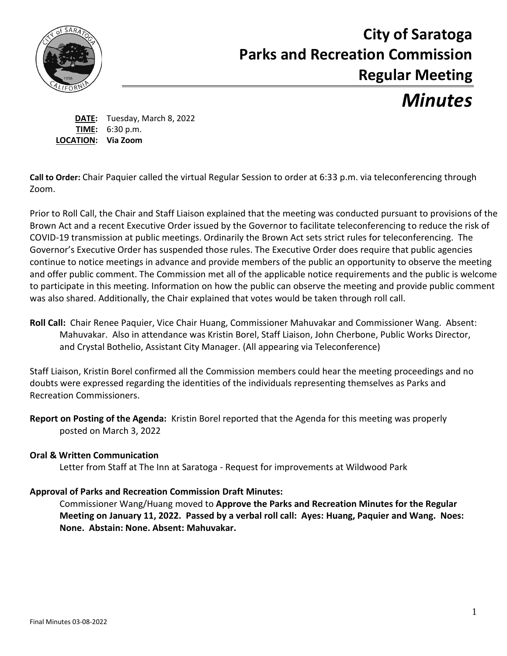

# **City of Saratoga Parks and Recreation Commission Regular Meeting**

# *Minutes*

**DATE:** Tuesday, March 8, 2022 **TIME:** 6:30 p.m. **LOCATION: Via Zoom**

**Call to Order:** Chair Paquier called the virtual Regular Session to order at 6:33 p.m. via teleconferencing through Zoom.

Prior to Roll Call, the Chair and Staff Liaison explained that the meeting was conducted pursuant to provisions of the Brown Act and a recent Executive Order issued by the Governor to facilitate teleconferencing to reduce the risk of COVID-19 transmission at public meetings. Ordinarily the Brown Act sets strict rules for teleconferencing. The Governor's Executive Order has suspended those rules. The Executive Order does require that public agencies continue to notice meetings in advance and provide members of the public an opportunity to observe the meeting and offer public comment. The Commission met all of the applicable notice requirements and the public is welcome to participate in this meeting. Information on how the public can observe the meeting and provide public comment was also shared. Additionally, the Chair explained that votes would be taken through roll call.

**Roll Call:** Chair Renee Paquier, Vice Chair Huang, Commissioner Mahuvakar and Commissioner Wang. Absent: Mahuvakar.Also in attendance was Kristin Borel, Staff Liaison, John Cherbone, Public Works Director, and Crystal Bothelio, Assistant City Manager. (All appearing via Teleconference)

Staff Liaison, Kristin Borel confirmed all the Commission members could hear the meeting proceedings and no doubts were expressed regarding the identities of the individuals representing themselves as Parks and Recreation Commissioners.

**Report on Posting of the Agenda:** Kristin Borel reported that the Agenda for this meeting was properly posted on March 3, 2022

### **Oral & Written Communication**

Letter from Staff at The Inn at Saratoga - Request for improvements at Wildwood Park

# **Approval of Parks and Recreation Commission Draft Minutes:**

Commissioner Wang/Huang moved to **Approve the Parks and Recreation Minutes for the Regular Meeting on January 11, 2022. Passed by a verbal roll call: Ayes: Huang, Paquier and Wang. Noes: None. Abstain: None. Absent: Mahuvakar.**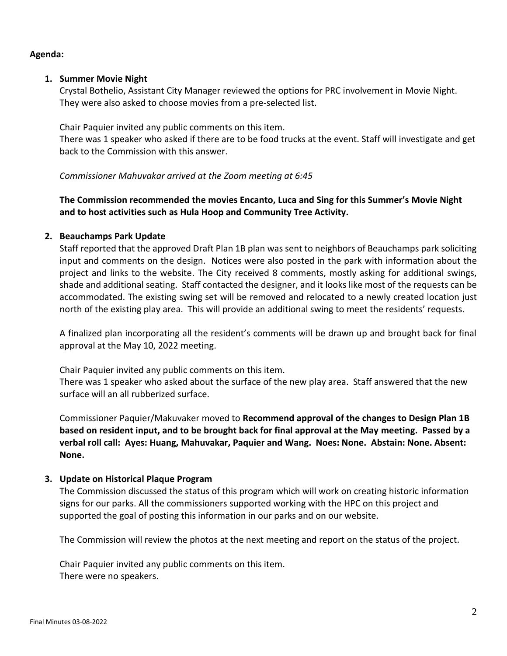#### **Agenda:**

#### **1. Summer Movie Night**

Crystal Bothelio, Assistant City Manager reviewed the options for PRC involvement in Movie Night. They were also asked to choose movies from a pre-selected list.

Chair Paquier invited any public comments on this item.

There was 1 speaker who asked if there are to be food trucks at the event. Staff will investigate and get back to the Commission with this answer.

#### *Commissioner Mahuvakar arrived at the Zoom meeting at 6:45*

# **The Commission recommended the movies Encanto, Luca and Sing for this Summer's Movie Night and to host activities such as Hula Hoop and Community Tree Activity.**

#### **2. Beauchamps Park Update**

Staff reported that the approved Draft Plan 1B plan was sent to neighbors of Beauchamps park soliciting input and comments on the design. Notices were also posted in the park with information about the project and links to the website. The City received 8 comments, mostly asking for additional swings, shade and additional seating. Staff contacted the designer, and it looks like most of the requests can be accommodated. The existing swing set will be removed and relocated to a newly created location just north of the existing play area. This will provide an additional swing to meet the residents' requests.

A finalized plan incorporating all the resident's comments will be drawn up and brought back for final approval at the May 10, 2022 meeting.

Chair Paquier invited any public comments on this item.

There was 1 speaker who asked about the surface of the new play area. Staff answered that the new surface will an all rubberized surface.

Commissioner Paquier/Makuvaker moved to **Recommend approval of the changes to Design Plan 1B based on resident input, and to be brought back for final approval at the May meeting. Passed by a verbal roll call: Ayes: Huang, Mahuvakar, Paquier and Wang. Noes: None. Abstain: None. Absent: None.**

#### **3. Update on Historical Plaque Program**

The Commission discussed the status of this program which will work on creating historic information signs for our parks. All the commissioners supported working with the HPC on this project and supported the goal of posting this information in our parks and on our website.

The Commission will review the photos at the next meeting and report on the status of the project.

Chair Paquier invited any public comments on this item. There were no speakers.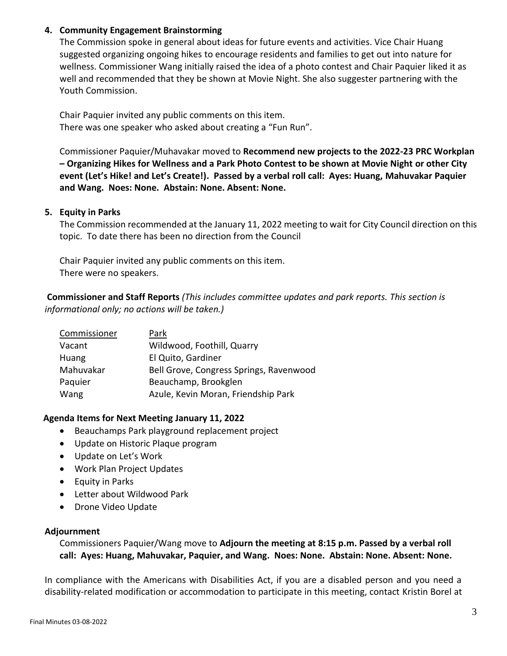#### **4. Community Engagement Brainstorming**

The Commission spoke in general about ideas for future events and activities. Vice Chair Huang suggested organizing ongoing hikes to encourage residents and families to get out into nature for wellness. Commissioner Wang initially raised the idea of a photo contest and Chair Paquier liked it as well and recommended that they be shown at Movie Night. She also suggester partnering with the Youth Commission.

Chair Paquier invited any public comments on this item. There was one speaker who asked about creating a "Fun Run".

Commissioner Paquier/Muhavakar moved to **Recommend new projects to the 2022-23 PRC Workplan – Organizing Hikes for Wellness and a Park Photo Contest to be shown at Movie Night or other City event (Let's Hike! and Let's Create!). Passed by a verbal roll call: Ayes: Huang, Mahuvakar Paquier and Wang. Noes: None. Abstain: None. Absent: None.**

#### **5. Equity in Parks**

The Commission recommended at the January 11, 2022 meeting to wait for City Council direction on this topic. To date there has been no direction from the Council

Chair Paquier invited any public comments on this item. There were no speakers.

**Commissioner and Staff Reports** *(This includes committee updates and park reports. This section is informational only; no actions will be taken.)*

| Commissioner | Park                                    |
|--------------|-----------------------------------------|
| Vacant       | Wildwood, Foothill, Quarry              |
| Huang        | El Quito, Gardiner                      |
| Mahuvakar    | Bell Grove, Congress Springs, Ravenwood |
| Paquier      | Beauchamp, Brookglen                    |
| Wang         | Azule, Kevin Moran, Friendship Park     |

#### **Agenda Items for Next Meeting January 11, 2022**

- Beauchamps Park playground replacement project
- Update on Historic Plaque program
- Update on Let's Work
- Work Plan Project Updates
- Equity in Parks
- Letter about Wildwood Park
- Drone Video Update

#### **Adjournment**

Commissioners Paquier/Wang move to **Adjourn the meeting at 8:15 p.m. Passed by a verbal roll call: Ayes: Huang, Mahuvakar, Paquier, and Wang. Noes: None. Abstain: None. Absent: None.**

In compliance with the Americans with Disabilities Act, if you are a disabled person and you need a disability-related modification or accommodation to participate in this meeting, contact Kristin Borel at